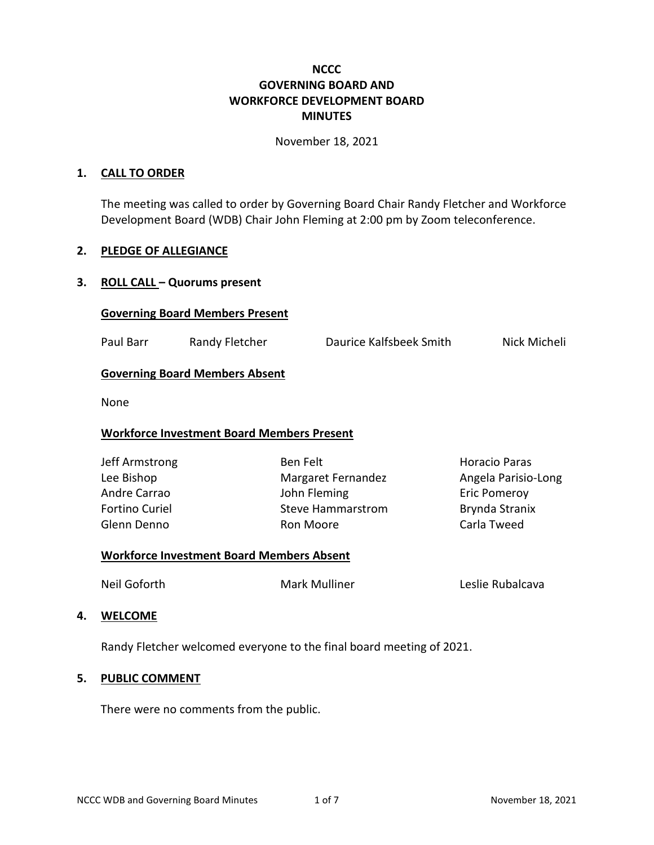# **NCCC GOVERNING BOARD AND WORKFORCE DEVELOPMENT BOARD MINUTES**

November 18, 2021

### **1. CALL TO ORDER**

The meeting was called to order by Governing Board Chair Randy Fletcher and Workforce Development Board (WDB) Chair John Fleming at 2:00 pm by Zoom teleconference.

### **2. PLEDGE OF ALLEGIANCE**

### **3. ROLL CALL – Quorums present**

### **Governing Board Members Present**

| Paul Barr | Randy Fletcher | Daurice Kalfsbeek Smith | Nick Micheli |
|-----------|----------------|-------------------------|--------------|
|-----------|----------------|-------------------------|--------------|

### **Governing Board Members Absent**

None

### **Workforce Investment Board Members Present**

Jeff Armstrong Lee Bishop Andre Carrao Fortino Curiel Glenn Denno

Ben Felt Margaret Fernandez John Fleming Steve Hammarstrom Ron Moore

Horacio Paras Angela Parisio-Long Eric Pomeroy Brynda Stranix Carla Tweed

#### **Workforce Investment Board Members Absent**

Neil Goforth **Mark Mulliner** Mark Mulliner Leslie Rubalcava

#### **4. WELCOME**

Randy Fletcher welcomed everyone to the final board meeting of 2021.

#### **5. PUBLIC COMMENT**

There were no comments from the public.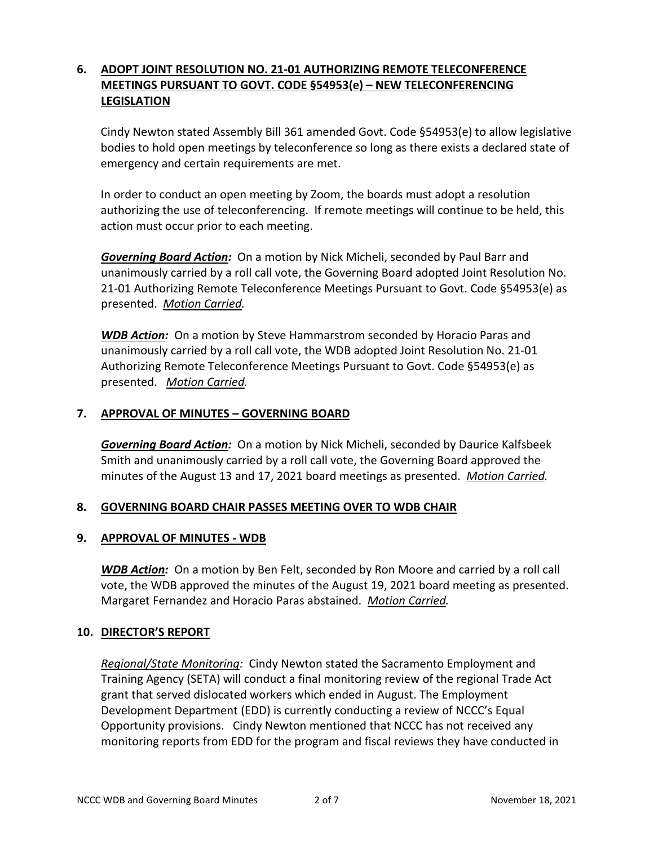# **6. ADOPT JOINT RESOLUTION NO. 21-01 AUTHORIZING REMOTE TELECONFERENCE MEETINGS PURSUANT TO GOVT. CODE §54953(e) – NEW TELECONFERENCING LEGISLATION**

Cindy Newton stated Assembly Bill 361 amended Govt. Code §54953(e) to allow legislative bodies to hold open meetings by teleconference so long as there exists a declared state of emergency and certain requirements are met.

In order to conduct an open meeting by Zoom, the boards must adopt a resolution authorizing the use of teleconferencing. If remote meetings will continue to be held, this action must occur prior to each meeting.

*Governing Board Action:* On a motion by Nick Micheli, seconded by Paul Barr and unanimously carried by a roll call vote, the Governing Board adopted Joint Resolution No. 21-01 Authorizing Remote Teleconference Meetings Pursuant to Govt. Code §54953(e) as presented. *Motion Carried.*

*WDB Action:* On a motion by Steve Hammarstrom seconded by Horacio Paras and unanimously carried by a roll call vote, the WDB adopted Joint Resolution No. 21-01 Authorizing Remote Teleconference Meetings Pursuant to Govt. Code §54953(e) as presented. *Motion Carried.*

## **7. APPROVAL OF MINUTES – GOVERNING BOARD**

*Governing Board Action:* On a motion by Nick Micheli, seconded by Daurice Kalfsbeek Smith and unanimously carried by a roll call vote, the Governing Board approved the minutes of the August 13 and 17, 2021 board meetings as presented. *Motion Carried.*

# **8. GOVERNING BOARD CHAIR PASSES MEETING OVER TO WDB CHAIR**

### **9. APPROVAL OF MINUTES - WDB**

*WDB Action:* On a motion by Ben Felt, seconded by Ron Moore and carried by a roll call vote, the WDB approved the minutes of the August 19, 2021 board meeting as presented. Margaret Fernandez and Horacio Paras abstained. *Motion Carried.*

### **10. DIRECTOR'S REPORT**

*Regional/State Monitoring:* Cindy Newton stated the Sacramento Employment and Training Agency (SETA) will conduct a final monitoring review of the regional Trade Act grant that served dislocated workers which ended in August. The Employment Development Department (EDD) is currently conducting a review of NCCC's Equal Opportunity provisions. Cindy Newton mentioned that NCCC has not received any monitoring reports from EDD for the program and fiscal reviews they have conducted in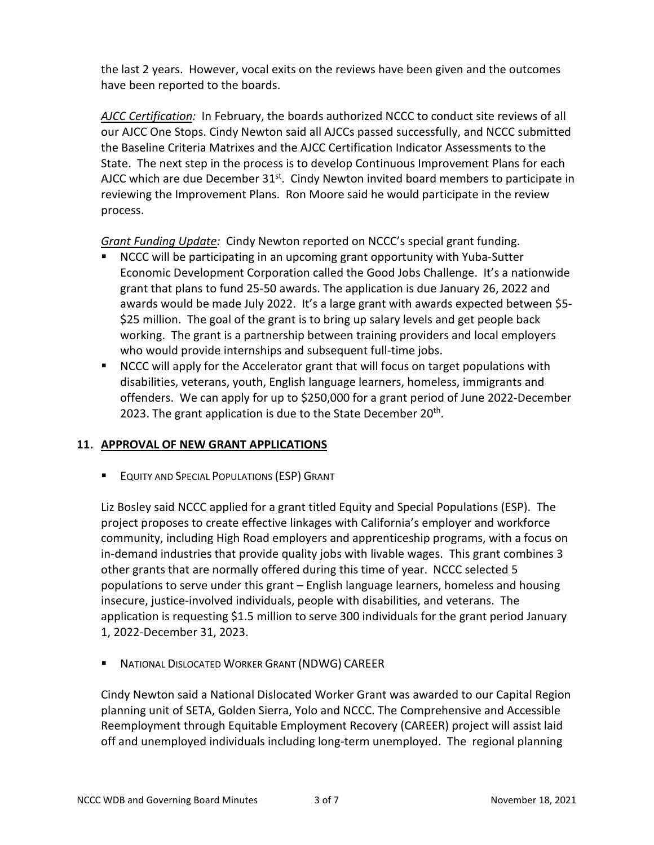the last 2 years. However, vocal exits on the reviews have been given and the outcomes have been reported to the boards.

*AJCC Certification:* In February, the boards authorized NCCC to conduct site reviews of all our AJCC One Stops. Cindy Newton said all AJCCs passed successfully, and NCCC submitted the Baseline Criteria Matrixes and the AJCC Certification Indicator Assessments to the State. The next step in the process is to develop Continuous Improvement Plans for each AJCC which are due December  $31^{st}$ . Cindy Newton invited board members to participate in reviewing the Improvement Plans. Ron Moore said he would participate in the review process.

*Grant Funding Update:* Cindy Newton reported on NCCC's special grant funding.

- NCCC will be participating in an upcoming grant opportunity with Yuba-Sutter Economic Development Corporation called the Good Jobs Challenge. It's a nationwide grant that plans to fund 25-50 awards. The application is due January 26, 2022 and awards would be made July 2022. It's a large grant with awards expected between \$5- \$25 million. The goal of the grant is to bring up salary levels and get people back working. The grant is a partnership between training providers and local employers who would provide internships and subsequent full-time jobs.
- **NCCC** will apply for the Accelerator grant that will focus on target populations with disabilities, veterans, youth, English language learners, homeless, immigrants and offenders. We can apply for up to \$250,000 for a grant period of June 2022-December 2023. The grant application is due to the State December  $20<sup>th</sup>$ .

# **11. APPROVAL OF NEW GRANT APPLICATIONS**

**EQUITY AND SPECIAL POPULATIONS (ESP) GRANT** 

Liz Bosley said NCCC applied for a grant titled Equity and Special Populations (ESP). The project proposes to create effective linkages with California's employer and workforce community, including High Road employers and apprenticeship programs, with a focus on in-demand industries that provide quality jobs with livable wages. This grant combines 3 other grants that are normally offered during this time of year. NCCC selected 5 populations to serve under this grant – English language learners, homeless and housing insecure, justice-involved individuals, people with disabilities, and veterans. The application is requesting \$1.5 million to serve 300 individuals for the grant period January 1, 2022-December 31, 2023.

**NATIONAL DISLOCATED WORKER GRANT (NDWG) CAREER** 

Cindy Newton said a National Dislocated Worker Grant was awarded to our Capital Region planning unit of SETA, Golden Sierra, Yolo and NCCC. The Comprehensive and Accessible Reemployment through Equitable Employment Recovery (CAREER) project will assist laid off and unemployed individuals including long-term unemployed. The regional planning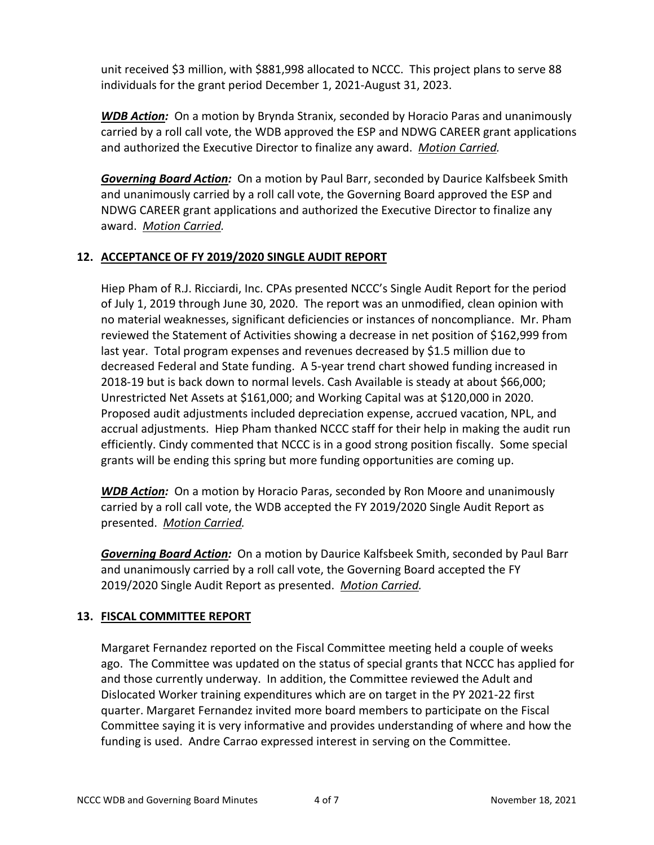unit received \$3 million, with \$881,998 allocated to NCCC. This project plans to serve 88 individuals for the grant period December 1, 2021-August 31, 2023.

**WDB Action:** On a motion by Brynda Stranix, seconded by Horacio Paras and unanimously carried by a roll call vote, the WDB approved the ESP and NDWG CAREER grant applications and authorized the Executive Director to finalize any award. *Motion Carried.*

*Governing Board Action:* On a motion by Paul Barr, seconded by Daurice Kalfsbeek Smith and unanimously carried by a roll call vote, the Governing Board approved the ESP and NDWG CAREER grant applications and authorized the Executive Director to finalize any award. *Motion Carried.*

# **12. ACCEPTANCE OF FY 2019/2020 SINGLE AUDIT REPORT**

Hiep Pham of R.J. Ricciardi, Inc. CPAs presented NCCC's Single Audit Report for the period of July 1, 2019 through June 30, 2020. The report was an unmodified, clean opinion with no material weaknesses, significant deficiencies or instances of noncompliance. Mr. Pham reviewed the Statement of Activities showing a decrease in net position of \$162,999 from last year. Total program expenses and revenues decreased by \$1.5 million due to decreased Federal and State funding. A 5-year trend chart showed funding increased in 2018-19 but is back down to normal levels. Cash Available is steady at about \$66,000; Unrestricted Net Assets at \$161,000; and Working Capital was at \$120,000 in 2020. Proposed audit adjustments included depreciation expense, accrued vacation, NPL, and accrual adjustments. Hiep Pham thanked NCCC staff for their help in making the audit run efficiently. Cindy commented that NCCC is in a good strong position fiscally. Some special grants will be ending this spring but more funding opportunities are coming up.

*WDB Action:* On a motion by Horacio Paras, seconded by Ron Moore and unanimously carried by a roll call vote, the WDB accepted the FY 2019/2020 Single Audit Report as presented. *Motion Carried.*

*Governing Board Action:* On a motion by Daurice Kalfsbeek Smith, seconded by Paul Barr and unanimously carried by a roll call vote, the Governing Board accepted the FY 2019/2020 Single Audit Report as presented. *Motion Carried.*

# **13. FISCAL COMMITTEE REPORT**

Margaret Fernandez reported on the Fiscal Committee meeting held a couple of weeks ago. The Committee was updated on the status of special grants that NCCC has applied for and those currently underway. In addition, the Committee reviewed the Adult and Dislocated Worker training expenditures which are on target in the PY 2021-22 first quarter. Margaret Fernandez invited more board members to participate on the Fiscal Committee saying it is very informative and provides understanding of where and how the funding is used. Andre Carrao expressed interest in serving on the Committee.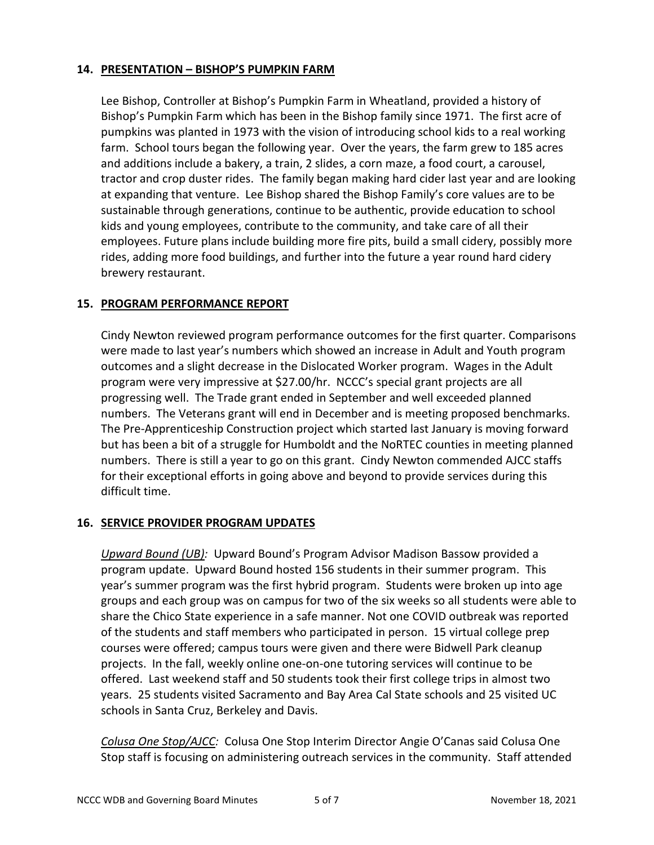## **14. PRESENTATION – BISHOP'S PUMPKIN FARM**

Lee Bishop, Controller at Bishop's Pumpkin Farm in Wheatland, provided a history of Bishop's Pumpkin Farm which has been in the Bishop family since 1971. The first acre of pumpkins was planted in 1973 with the vision of introducing school kids to a real working farm. School tours began the following year. Over the years, the farm grew to 185 acres and additions include a bakery, a train, 2 slides, a corn maze, a food court, a carousel, tractor and crop duster rides. The family began making hard cider last year and are looking at expanding that venture. Lee Bishop shared the Bishop Family's core values are to be sustainable through generations, continue to be authentic, provide education to school kids and young employees, contribute to the community, and take care of all their employees. Future plans include building more fire pits, build a small cidery, possibly more rides, adding more food buildings, and further into the future a year round hard cidery brewery restaurant.

## **15. PROGRAM PERFORMANCE REPORT**

Cindy Newton reviewed program performance outcomes for the first quarter. Comparisons were made to last year's numbers which showed an increase in Adult and Youth program outcomes and a slight decrease in the Dislocated Worker program. Wages in the Adult program were very impressive at \$27.00/hr. NCCC's special grant projects are all progressing well. The Trade grant ended in September and well exceeded planned numbers. The Veterans grant will end in December and is meeting proposed benchmarks. The Pre-Apprenticeship Construction project which started last January is moving forward but has been a bit of a struggle for Humboldt and the NoRTEC counties in meeting planned numbers. There is still a year to go on this grant. Cindy Newton commended AJCC staffs for their exceptional efforts in going above and beyond to provide services during this difficult time.

### **16. SERVICE PROVIDER PROGRAM UPDATES**

*Upward Bound (UB):* Upward Bound's Program Advisor Madison Bassow provided a program update. Upward Bound hosted 156 students in their summer program. This year's summer program was the first hybrid program. Students were broken up into age groups and each group was on campus for two of the six weeks so all students were able to share the Chico State experience in a safe manner. Not one COVID outbreak was reported of the students and staff members who participated in person. 15 virtual college prep courses were offered; campus tours were given and there were Bidwell Park cleanup projects. In the fall, weekly online one-on-one tutoring services will continue to be offered. Last weekend staff and 50 students took their first college trips in almost two years. 25 students visited Sacramento and Bay Area Cal State schools and 25 visited UC schools in Santa Cruz, Berkeley and Davis.

*Colusa One Stop/AJCC:* Colusa One Stop Interim Director Angie O'Canas said Colusa One Stop staff is focusing on administering outreach services in the community. Staff attended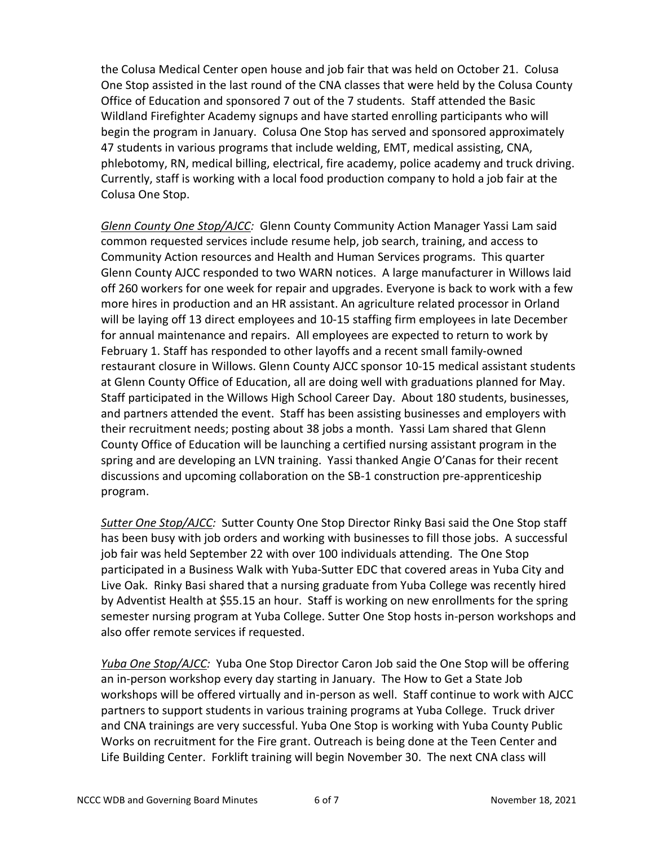the Colusa Medical Center open house and job fair that was held on October 21. Colusa One Stop assisted in the last round of the CNA classes that were held by the Colusa County Office of Education and sponsored 7 out of the 7 students. Staff attended the Basic Wildland Firefighter Academy signups and have started enrolling participants who will begin the program in January. Colusa One Stop has served and sponsored approximately 47 students in various programs that include welding, EMT, medical assisting, CNA, phlebotomy, RN, medical billing, electrical, fire academy, police academy and truck driving. Currently, staff is working with a local food production company to hold a job fair at the Colusa One Stop.

*Glenn County One Stop/AJCC:* Glenn County Community Action Manager Yassi Lam said common requested services include resume help, job search, training, and access to Community Action resources and Health and Human Services programs. This quarter Glenn County AJCC responded to two WARN notices. A large manufacturer in Willows laid off 260 workers for one week for repair and upgrades. Everyone is back to work with a few more hires in production and an HR assistant. An agriculture related processor in Orland will be laying off 13 direct employees and 10-15 staffing firm employees in late December for annual maintenance and repairs. All employees are expected to return to work by February 1. Staff has responded to other layoffs and a recent small family-owned restaurant closure in Willows. Glenn County AJCC sponsor 10-15 medical assistant students at Glenn County Office of Education, all are doing well with graduations planned for May. Staff participated in the Willows High School Career Day. About 180 students, businesses, and partners attended the event. Staff has been assisting businesses and employers with their recruitment needs; posting about 38 jobs a month. Yassi Lam shared that Glenn County Office of Education will be launching a certified nursing assistant program in the spring and are developing an LVN training. Yassi thanked Angie O'Canas for their recent discussions and upcoming collaboration on the SB-1 construction pre-apprenticeship program.

*Sutter One Stop/AJCC:* Sutter County One Stop Director Rinky Basi said the One Stop staff has been busy with job orders and working with businesses to fill those jobs. A successful job fair was held September 22 with over 100 individuals attending. The One Stop participated in a Business Walk with Yuba-Sutter EDC that covered areas in Yuba City and Live Oak. Rinky Basi shared that a nursing graduate from Yuba College was recently hired by Adventist Health at \$55.15 an hour. Staff is working on new enrollments for the spring semester nursing program at Yuba College. Sutter One Stop hosts in-person workshops and also offer remote services if requested.

*Yuba One Stop/AJCC:* Yuba One Stop Director Caron Job said the One Stop will be offering an in-person workshop every day starting in January. The How to Get a State Job workshops will be offered virtually and in-person as well. Staff continue to work with AJCC partners to support students in various training programs at Yuba College. Truck driver and CNA trainings are very successful. Yuba One Stop is working with Yuba County Public Works on recruitment for the Fire grant. Outreach is being done at the Teen Center and Life Building Center. Forklift training will begin November 30. The next CNA class will